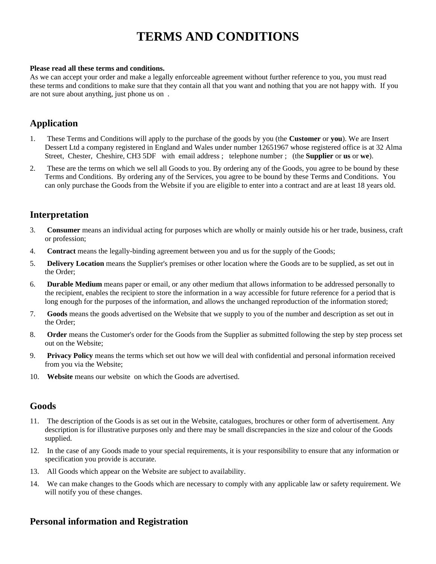# **TERMS AND CONDITIONS**

#### **Please read all these terms and conditions.**

As we can accept your order and make a legally enforceable agreement without further reference to you, you must read these terms and conditions to make sure that they contain all that you want and nothing that you are not happy with. If you are not sure about anything, just phone us on .

### **Application**

- 1. These Terms and Conditions will apply to the purchase of the goods by you (the **Customer** or **you**). We are Insert Dessert Ltd a company registered in England and Wales under number 12651967 whose registered office is at 32 Alma Street, Chester, Cheshire, CH3 5DF with email address ; telephone number ; (the **Supplier** or **us** or **we**).
- 2. These are the terms on which we sell all Goods to you. By ordering any of the Goods, you agree to be bound by these Terms and Conditions. By ordering any of the Services, you agree to be bound by these Terms and Conditions. You can only purchase the Goods from the Website if you are eligible to enter into a contract and are at least 18 years old.

## **Interpretation**

- 3. **Consumer** means an individual acting for purposes which are wholly or mainly outside his or her trade, business, craft or profession;
- 4. **Contract** means the legally-binding agreement between you and us for the supply of the Goods;
- 5. **Delivery Location** means the Supplier's premises or other location where the Goods are to be supplied, as set out in the Order;
- 6. **Durable Medium** means paper or email, or any other medium that allows information to be addressed personally to the recipient, enables the recipient to store the information in a way accessible for future reference for a period that is long enough for the purposes of the information, and allows the unchanged reproduction of the information stored;
- 7. **Goods** means the goods advertised on the Website that we supply to you of the number and description as set out in the Order;
- 8. **Order** means the Customer's order for the Goods from the Supplier as submitted following the step by step process set out on the Website;
- 9. **Privacy Policy** means the terms which set out how we will deal with confidential and personal information received from you via the Website;
- 10. **Website** means our website on which the Goods are advertised.

### **Goods**

- 11. The description of the Goods is as set out in the Website, catalogues, brochures or other form of advertisement. Any description is for illustrative purposes only and there may be small discrepancies in the size and colour of the Goods supplied.
- 12. In the case of any Goods made to your special requirements, it is your responsibility to ensure that any information or specification you provide is accurate.
- 13. All Goods which appear on the Website are subject to availability.
- 14. We can make changes to the Goods which are necessary to comply with any applicable law or safety requirement. We will notify you of these changes.

### **Personal information and Registration**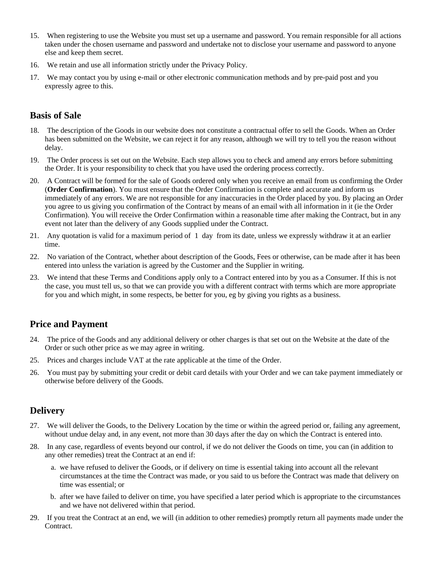- 15. When registering to use the Website you must set up a username and password. You remain responsible for all actions taken under the chosen username and password and undertake not to disclose your username and password to anyone else and keep them secret.
- 16. We retain and use all information strictly under the Privacy Policy.
- 17. We may contact you by using e-mail or other electronic communication methods and by pre-paid post and you expressly agree to this.

## **Basis of Sale**

- 18. The description of the Goods in our website does not constitute a contractual offer to sell the Goods. When an Order has been submitted on the Website, we can reject it for any reason, although we will try to tell you the reason without delay.
- 19. The Order process is set out on the Website. Each step allows you to check and amend any errors before submitting the Order. It is your responsibility to check that you have used the ordering process correctly.
- 20. A Contract will be formed for the sale of Goods ordered only when you receive an email from us confirming the Order (**Order Confirmation**). You must ensure that the Order Confirmation is complete and accurate and inform us immediately of any errors. We are not responsible for any inaccuracies in the Order placed by you. By placing an Order you agree to us giving you confirmation of the Contract by means of an email with all information in it (ie the Order Confirmation). You will receive the Order Confirmation within a reasonable time after making the Contract, but in any event not later than the delivery of any Goods supplied under the Contract.
- 21. Any quotation is valid for a maximum period of 1 day from its date, unless we expressly withdraw it at an earlier time.
- 22. No variation of the Contract, whether about description of the Goods, Fees or otherwise, can be made after it has been entered into unless the variation is agreed by the Customer and the Supplier in writing.
- 23. We intend that these Terms and Conditions apply only to a Contract entered into by you as a Consumer. If this is not the case, you must tell us, so that we can provide you with a different contract with terms which are more appropriate for you and which might, in some respects, be better for you, eg by giving you rights as a business.

## **Price and Payment**

- 24. The price of the Goods and any additional delivery or other charges is that set out on the Website at the date of the Order or such other price as we may agree in writing.
- 25. Prices and charges include VAT at the rate applicable at the time of the Order.
- 26. You must pay by submitting your credit or debit card details with your Order and we can take payment immediately or otherwise before delivery of the Goods.

## **Delivery**

- 27. We will deliver the Goods, to the Delivery Location by the time or within the agreed period or, failing any agreement, without undue delay and, in any event, not more than 30 days after the day on which the Contract is entered into.
- 28. In any case, regardless of events beyond our control, if we do not deliver the Goods on time, you can (in addition to any other remedies) treat the Contract at an end if:
	- a. we have refused to deliver the Goods, or if delivery on time is essential taking into account all the relevant circumstances at the time the Contract was made, or you said to us before the Contract was made that delivery on time was essential; or
	- b. after we have failed to deliver on time, you have specified a later period which is appropriate to the circumstances and we have not delivered within that period.
- 29. If you treat the Contract at an end, we will (in addition to other remedies) promptly return all payments made under the Contract.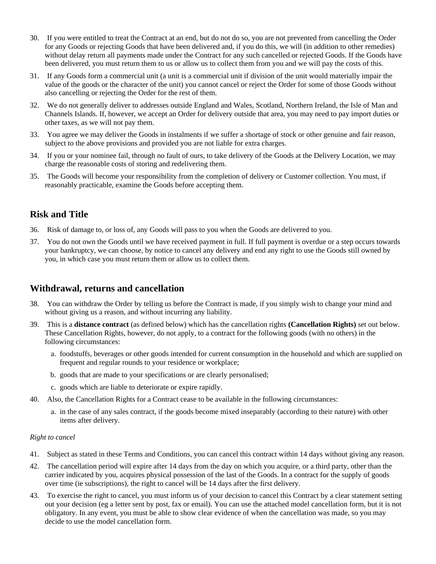- 30. If you were entitled to treat the Contract at an end, but do not do so, you are not prevented from cancelling the Order for any Goods or rejecting Goods that have been delivered and, if you do this, we will (in addition to other remedies) without delay return all payments made under the Contract for any such cancelled or rejected Goods. If the Goods have been delivered, you must return them to us or allow us to collect them from you and we will pay the costs of this.
- 31. If any Goods form a commercial unit (a unit is a commercial unit if division of the unit would materially impair the value of the goods or the character of the unit) you cannot cancel or reject the Order for some of those Goods without also cancelling or rejecting the Order for the rest of them.
- 32. We do not generally deliver to addresses outside England and Wales, Scotland, Northern Ireland, the Isle of Man and Channels Islands. If, however, we accept an Order for delivery outside that area, you may need to pay import duties or other taxes, as we will not pay them.
- 33. You agree we may deliver the Goods in instalments if we suffer a shortage of stock or other genuine and fair reason, subject to the above provisions and provided you are not liable for extra charges.
- 34. If you or your nominee fail, through no fault of ours, to take delivery of the Goods at the Delivery Location, we may charge the reasonable costs of storing and redelivering them.
- 35. The Goods will become your responsibility from the completion of delivery or Customer collection. You must, if reasonably practicable, examine the Goods before accepting them.

# **Risk and Title**

- 36. Risk of damage to, or loss of, any Goods will pass to you when the Goods are delivered to you.
- 37. You do not own the Goods until we have received payment in full. If full payment is overdue or a step occurs towards your bankruptcy, we can choose, by notice to cancel any delivery and end any right to use the Goods still owned by you, in which case you must return them or allow us to collect them.

## **Withdrawal, returns and cancellation**

- 38. You can withdraw the Order by telling us before the Contract is made, if you simply wish to change your mind and without giving us a reason, and without incurring any liability.
- 39. This is a **distance contract** (as defined below) which has the cancellation rights **(Cancellation Rights)** set out below. These Cancellation Rights, however, do not apply, to a contract for the following goods (with no others) in the following circumstances:
	- a. foodstuffs, beverages or other goods intended for current consumption in the household and which are supplied on frequent and regular rounds to your residence or workplace;
	- b. goods that are made to your specifications or are clearly personalised;
	- c. goods which are liable to deteriorate or expire rapidly.
- 40. Also, the Cancellation Rights for a Contract cease to be available in the following circumstances:
	- a. in the case of any sales contract, if the goods become mixed inseparably (according to their nature) with other items after delivery.

#### *Right to cancel*

- 41. Subject as stated in these Terms and Conditions, you can cancel this contract within 14 days without giving any reason.
- 42. The cancellation period will expire after 14 days from the day on which you acquire, or a third party, other than the carrier indicated by you, acquires physical possession of the last of the Goods. In a contract for the supply of goods over time (ie subscriptions), the right to cancel will be 14 days after the first delivery.
- 43. To exercise the right to cancel, you must inform us of your decision to cancel this Contract by a clear statement setting out your decision (eg a letter sent by post, fax or email). You can use the attached model cancellation form, but it is not obligatory. In any event, you must be able to show clear evidence of when the cancellation was made, so you may decide to use the model cancellation form.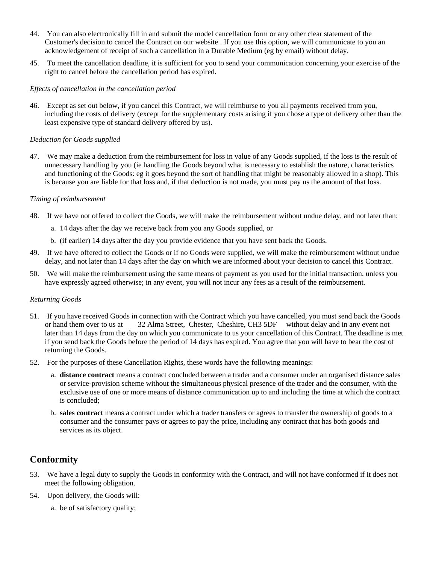- 44. You can also electronically fill in and submit the model cancellation form or any other clear statement of the Customer's decision to cancel the Contract on our website . If you use this option, we will communicate to you an acknowledgement of receipt of such a cancellation in a Durable Medium (eg by email) without delay.
- 45. To meet the cancellation deadline, it is sufficient for you to send your communication concerning your exercise of the right to cancel before the cancellation period has expired.

#### *Effects of cancellation in the cancellation period*

46. Except as set out below, if you cancel this Contract, we will reimburse to you all payments received from you, including the costs of delivery (except for the supplementary costs arising if you chose a type of delivery other than the least expensive type of standard delivery offered by us).

#### *Deduction for Goods supplied*

47. We may make a deduction from the reimbursement for loss in value of any Goods supplied, if the loss is the result of unnecessary handling by you (ie handling the Goods beyond what is necessary to establish the nature, characteristics and functioning of the Goods: eg it goes beyond the sort of handling that might be reasonably allowed in a shop). This is because you are liable for that loss and, if that deduction is not made, you must pay us the amount of that loss.

#### *Timing of reimbursement*

- 48. If we have not offered to collect the Goods, we will make the reimbursement without undue delay, and not later than:
	- a. 14 days after the day we receive back from you any Goods supplied, or
	- b. (if earlier) 14 days after the day you provide evidence that you have sent back the Goods.
- 49. If we have offered to collect the Goods or if no Goods were supplied, we will make the reimbursement without undue delay, and not later than 14 days after the day on which we are informed about your decision to cancel this Contract.
- 50. We will make the reimbursement using the same means of payment as you used for the initial transaction, unless you have expressly agreed otherwise; in any event, you will not incur any fees as a result of the reimbursement.

#### *Returning Goods*

- 51. If you have received Goods in connection with the Contract which you have cancelled, you must send back the Goods or hand them over to us at 32 Alma Street, Chester, Cheshire, CH3 5DF without delay and in any event not later than 14 days from the day on which you communicate to us your cancellation of this Contract. The deadline is met if you send back the Goods before the period of 14 days has expired. You agree that you will have to bear the cost of returning the Goods.
- 52. For the purposes of these Cancellation Rights, these words have the following meanings:
	- a. **distance contract** means a contract concluded between a trader and a consumer under an organised distance sales or service-provision scheme without the simultaneous physical presence of the trader and the consumer, with the exclusive use of one or more means of distance communication up to and including the time at which the contract is concluded;
	- b. **sales contract** means a contract under which a trader transfers or agrees to transfer the ownership of goods to a consumer and the consumer pays or agrees to pay the price, including any contract that has both goods and services as its object.

## **Conformity**

- 53. We have a legal duty to supply the Goods in conformity with the Contract, and will not have conformed if it does not meet the following obligation.
- 54. Upon delivery, the Goods will:
	- a. be of satisfactory quality;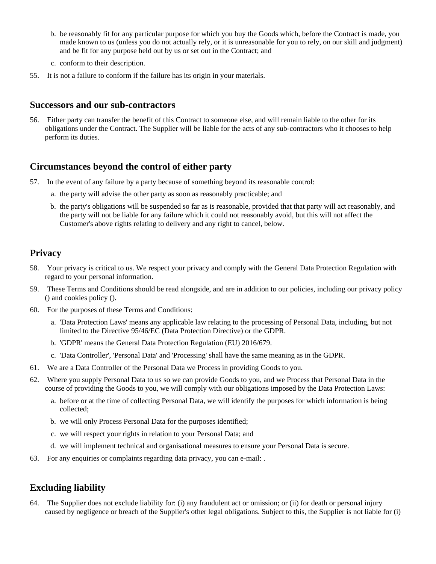- b. be reasonably fit for any particular purpose for which you buy the Goods which, before the Contract is made, you made known to us (unless you do not actually rely, or it is unreasonable for you to rely, on our skill and judgment) and be fit for any purpose held out by us or set out in the Contract; and
- c. conform to their description.
- 55. It is not a failure to conform if the failure has its origin in your materials.

### **Successors and our sub-contractors**

56. Either party can transfer the benefit of this Contract to someone else, and will remain liable to the other for its obligations under the Contract. The Supplier will be liable for the acts of any sub-contractors who it chooses to help perform its duties.

### **Circumstances beyond the control of either party**

- 57. In the event of any failure by a party because of something beyond its reasonable control:
	- a. the party will advise the other party as soon as reasonably practicable; and
	- b. the party's obligations will be suspended so far as is reasonable, provided that that party will act reasonably, and the party will not be liable for any failure which it could not reasonably avoid, but this will not affect the Customer's above rights relating to delivery and any right to cancel, below.

## **Privacy**

- 58. Your privacy is critical to us. We respect your privacy and comply with the General Data Protection Regulation with regard to your personal information.
- 59. These Terms and Conditions should be read alongside, and are in addition to our policies, including our privacy policy () and cookies policy ().
- 60. For the purposes of these Terms and Conditions:
	- a. 'Data Protection Laws' means any applicable law relating to the processing of Personal Data, including, but not limited to the Directive 95/46/EC (Data Protection Directive) or the GDPR.
	- b. 'GDPR' means the General Data Protection Regulation (EU) 2016/679.
	- c. 'Data Controller', 'Personal Data' and 'Processing' shall have the same meaning as in the GDPR.
- 61. We are a Data Controller of the Personal Data we Process in providing Goods to you.
- 62. Where you supply Personal Data to us so we can provide Goods to you, and we Process that Personal Data in the course of providing the Goods to you, we will comply with our obligations imposed by the Data Protection Laws:
	- a. before or at the time of collecting Personal Data, we will identify the purposes for which information is being collected;
	- b. we will only Process Personal Data for the purposes identified;
	- c. we will respect your rights in relation to your Personal Data; and
	- d. we will implement technical and organisational measures to ensure your Personal Data is secure.
- 63. For any enquiries or complaints regarding data privacy, you can e-mail: .

## **Excluding liability**

64. The Supplier does not exclude liability for: (i) any fraudulent act or omission; or (ii) for death or personal injury caused by negligence or breach of the Supplier's other legal obligations. Subject to this, the Supplier is not liable for (i)